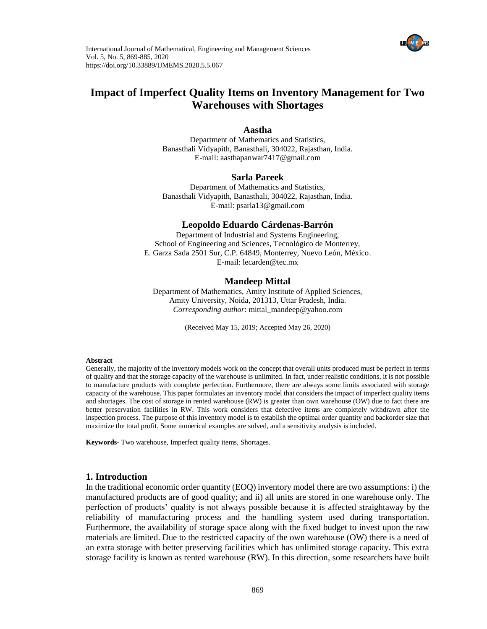

# **Impact of Imperfect Quality Items on Inventory Management for Two Warehouses with Shortages**

### **Aastha**

Department of Mathematics and Statistics, Banasthali Vidyapith, Banasthali, 304022, Rajasthan, India. E-mail: [aasthapanwar7417@gmail.com](mailto:aasthapanwar7417@gmail.com)

### **Sarla Pareek**

Department of Mathematics and Statistics, Banasthali Vidyapith, Banasthali, 304022, Rajasthan, India. E-mail: [psarla13@gmail.com](mailto:psarla13@gmail.com)

### **Leopoldo Eduardo Cárdenas-Barrón**

Department of Industrial and Systems Engineering, School of Engineering and Sciences, Tecnológico de Monterrey, E. Garza Sada 2501 Sur, C.P. 64849, Monterrey, Nuevo León, México. E-mail: [lecarden@tec.mx](mailto:lecarden@tec.mx)

### **Mandeep Mittal**

Department of Mathematics, Amity Institute of Applied Sciences, Amity University, Noida, 201313, Uttar Pradesh, India. *Corresponding author*[: mittal\\_mandeep@yahoo.com](mailto:mittal_mandeep@yahoo.com)

(Received May 15, 2019; Accepted May 26, 2020)

### **Abstract**

Generally, the majority of the inventory models work on the concept that overall units produced must be perfect in terms of quality and that the storage capacity of the warehouse is unlimited. In fact, under realistic conditions, it is not possible to manufacture products with complete perfection. Furthermore, there are always some limits associated with storage capacity of the warehouse. This paper formulates an inventory model that considers the impact of imperfect quality items and shortages. The cost of storage in rented warehouse (RW) is greater than own warehouse (OW) due to fact there are better preservation facilities in RW. This work considers that defective items are completely withdrawn after the inspection process. The purpose of this inventory model is to establish the optimal order quantity and backorder size that maximize the total profit. Some numerical examples are solved, and a sensitivity analysis is included.

**Keywords**- Two warehouse, Imperfect quality items, Shortages.

## **1. Introduction**

In the traditional economic order quantity (EOQ) inventory model there are two assumptions: i) the manufactured products are of good quality; and ii) all units are stored in one warehouse only. The perfection of products' quality is not always possible because it is affected straightaway by the reliability of manufacturing process and the handling system used during transportation. Furthermore, the availability of storage space along with the fixed budget to invest upon the raw materials are limited. Due to the restricted capacity of the own warehouse (OW) there is a need of an extra storage with better preserving facilities which has unlimited storage capacity. This extra storage facility is known as rented warehouse (RW). In this direction, some researchers have built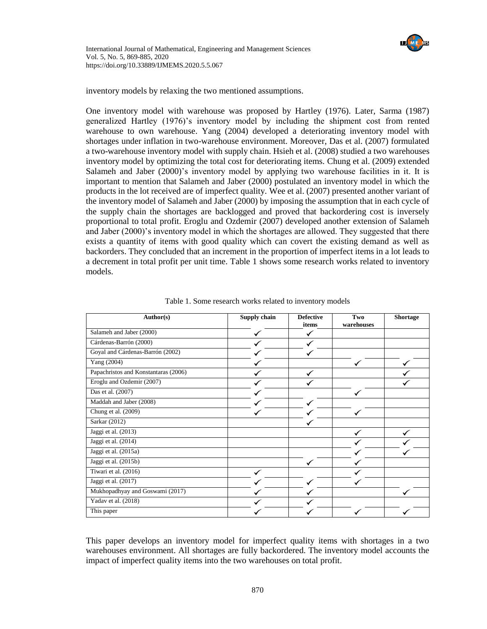

inventory models by relaxing the two mentioned assumptions.

One inventory model with warehouse was proposed by Hartley (1976). Later, Sarma (1987) generalized Hartley (1976)'s inventory model by including the shipment cost from rented warehouse to own warehouse. Yang (2004) developed a deteriorating inventory model with shortages under inflation in two-warehouse environment. Moreover, Das et al. (2007) formulated a two-warehouse inventory model with supply chain. Hsieh et al. (2008) studied a two warehouses inventory model by optimizing the total cost for deteriorating items. Chung et al. (2009) extended Salameh and Jaber (2000)'s inventory model by applying two warehouse facilities in it. It is important to mention that Salameh and Jaber (2000) postulated an inventory model in which the products in the lot received are of imperfect quality. Wee et al. (2007) presented another variant of the inventory model of Salameh and Jaber (2000) by imposing the assumption that in each cycle of the supply chain the shortages are backlogged and proved that backordering cost is inversely proportional to total profit. Eroglu and Ozdemir (2007) developed another extension of Salameh and Jaber (2000)'s inventory model in which the shortages are allowed. They suggested that there exists a quantity of items with good quality which can covert the existing demand as well as backorders. They concluded that an increment in the proportion of imperfect items in a lot leads to a decrement in total profit per unit time. Table 1 shows some research works related to inventory models.

| Author(s)                            | Supply chain | <b>Defective</b><br>items | Two<br>warehouses | <b>Shortage</b> |  |
|--------------------------------------|--------------|---------------------------|-------------------|-----------------|--|
| Salameh and Jaber (2000)             |              |                           |                   |                 |  |
| Cárdenas-Barrón (2000)               |              |                           |                   |                 |  |
| Goyal and Cárdenas-Barrón (2002)     |              |                           |                   |                 |  |
| Yang (2004)                          |              |                           |                   |                 |  |
| Papachristos and Konstantaras (2006) |              |                           |                   |                 |  |
| Eroglu and Ozdemir (2007)            |              |                           |                   |                 |  |
| Das et al. (2007)                    |              |                           |                   |                 |  |
| Maddah and Jaber (2008)              |              |                           |                   |                 |  |
| Chung et al. (2009)                  |              |                           |                   |                 |  |
| Sarkar (2012)                        |              |                           |                   |                 |  |
| Jaggi et al. (2013)                  |              |                           |                   |                 |  |
| Jaggi et al. (2014)                  |              |                           |                   |                 |  |
| Jaggi et al. (2015a)                 |              |                           |                   |                 |  |
| Jaggi et al. (2015b)                 |              |                           |                   |                 |  |
| Tiwari et al. (2016)                 |              |                           |                   |                 |  |
| Jaggi et al. (2017)                  |              |                           |                   |                 |  |
| Mukhopadhyay and Goswami (2017)      |              |                           |                   |                 |  |
| Yadav et al. (2018)                  |              |                           |                   |                 |  |
| This paper                           |              |                           |                   |                 |  |

Table 1. Some research works related to inventory models

This paper develops an inventory model for imperfect quality items with shortages in a two warehouses environment. All shortages are fully backordered. The inventory model accounts the impact of imperfect quality items into the two warehouses on total profit.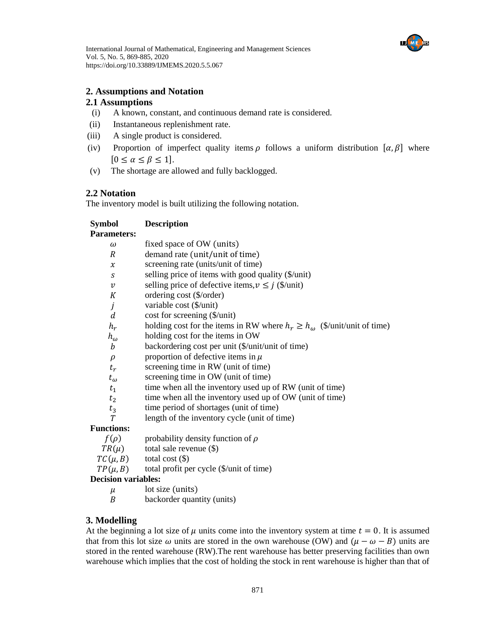

## **2. Assumptions and Notation**

## **2.1 Assumptions**

- (i) A known, constant, and continuous demand rate is considered.
- (ii) Instantaneous replenishment rate.
- (iii) A single product is considered.
- (iv) Proportion of imperfect quality items  $\rho$  follows a uniform distribution  $[\alpha, \beta]$  where  $[0 \le \alpha \le \beta \le 1].$
- (v) The shortage are allowed and fully backlogged.

## **2.2 Notation**

The inventory model is built utilizing the following notation.

## **Symbol Description**

## **Parameters:**

| $\omega$                   | fixed space of OW (units)                                                        |
|----------------------------|----------------------------------------------------------------------------------|
| R                          | demand rate (unit/unit of time)                                                  |
| $\chi$                     | screening rate (units/unit of time)                                              |
| S                          | selling price of items with good quality (\$/unit)                               |
| $\boldsymbol{\mathcal{V}}$ | selling price of defective items, $v \leq j$ (\$/unit)                           |
| К                          | ordering cost (\$/order)                                                         |
| j                          | variable cost (\$/unit)                                                          |
| d                          | $cost for screening ($\text{unit})$                                              |
| $h_r$                      | holding cost for the items in RW where $h_r \ge h_\omega$ (\$/unit/unit of time) |
| $h_{\omega}$               | holding cost for the items in OW                                                 |
| $\boldsymbol{b}$           | backordering cost per unit (\$/unit/unit of time)                                |
| $\rho$                     | proportion of defective items in $\mu$                                           |
| $t_r$                      | screening time in RW (unit of time)                                              |
| $t_{\omega}$               | screening time in OW (unit of time)                                              |
| $t_1$                      | time when all the inventory used up of RW (unit of time)                         |
| t <sub>2</sub>             | time when all the inventory used up of OW (unit of time)                         |
| $t_3$                      | time period of shortages (unit of time)                                          |
| T                          | length of the inventory cycle (unit of time)                                     |
| <b>Functions:</b>          |                                                                                  |
| $f(\rho)$                  | probability density function of $\rho$                                           |
| $TR(\mu)$                  | total sale revenue $(\$)$                                                        |
| $TC(\mu, B)$               | total cost $(\$)$                                                                |

 $TP(\mu, B)$  total profit per cycle (\$/unit of time)

## **Decision variables:**

 $\mu$  lot size (units)

backorder quantity (units)

## **3. Modelling**

At the beginning a lot size of  $\mu$  units come into the inventory system at time  $t = 0$ . It is assumed that from this lot size  $\omega$  units are stored in the own warehouse (OW) and  $(\mu - \omega - B)$  units are stored in the rented warehouse (RW).The rent warehouse has better preserving facilities than own warehouse which implies that the cost of holding the stock in rent warehouse is higher than that of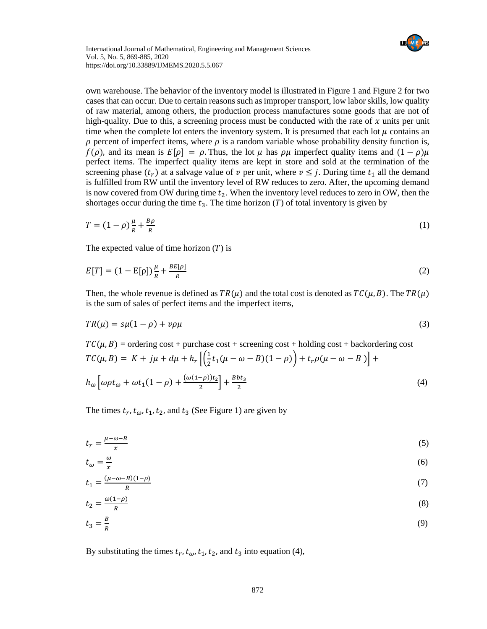

own warehouse. The behavior of the inventory model is illustrated in Figure 1 and Figure 2 for two cases that can occur. Due to certain reasons such as improper transport, low labor skills, low quality of raw material, among others, the production process manufactures some goods that are not of high-quality. Due to this, a screening process must be conducted with the rate of  $x$  units per unit time when the complete lot enters the inventory system. It is presumed that each lot  $\mu$  contains an  $\rho$  percent of imperfect items, where  $\rho$  is a random variable whose probability density function is,  $f(\rho)$ , and its mean is  $E[\rho] = \rho$ . Thus, the lot  $\mu$  has  $\rho\mu$  imperfect quality items and  $(1 - \rho)\mu$ perfect items. The imperfect quality items are kept in store and sold at the termination of the screening phase  $(t_r)$  at a salvage value of  $\nu$  per unit, where  $\nu \leq j$ . During time  $t_1$  all the demand is fulfilled from RW until the inventory level of RW reduces to zero. After, the upcoming demand is now covered from OW during time  $t_2$ . When the inventory level reduces to zero in OW, then the shortages occur during the time  $t_3$ . The time horizon (T) of total inventory is given by

$$
T = (1 - \rho)\frac{\mu}{R} + \frac{B\rho}{R} \tag{1}
$$

The expected value of time horizon  $(T)$  is

$$
E[T] = (1 - E[\rho])\frac{\mu}{R} + \frac{BE[\rho]}{R}
$$
 (2)

Then, the whole revenue is defined as  $TR(\mu)$  and the total cost is denoted as  $TC(\mu, B)$ . The  $TR(\mu)$ is the sum of sales of perfect items and the imperfect items,

$$
TR(\mu) = s\mu(1-\rho) + v\rho\mu \tag{3}
$$

 $TC(\mu, B)$  = ordering cost + purchase cost + screening cost + holding cost + backordering cost  $TC(\mu, B) = K + j\mu + d\mu + h_r \left[ \frac{1}{2} \right]$  $\frac{1}{2}t_1(\mu-\omega-B)(1-\rho)\Big)+t_r\rho(\mu-\omega-B)\Big]+$  $h_{\omega} \left[ \omega \rho t_{\omega} + \omega t_1 (1 - \rho) + \frac{(\omega (1 - \rho)) t_2}{2} \right]$  $\left[\frac{-\rho}{2}\right] + \frac{Bbt_3}{2}$ 2 (4)

The times  $t_r$ ,  $t_{\omega}$ ,  $t_1$ ,  $t_2$ , and  $t_3$  (See Figure 1) are given by

$$
t_r = \frac{\mu - \omega - B}{x} \tag{5}
$$

$$
t_{\omega} = \frac{\omega}{x} \tag{6}
$$

$$
t_1 = \frac{(\mu - \omega - B)(1 - \rho)}{R} \tag{7}
$$

$$
t_2 = \frac{\omega(1-\rho)}{R} \tag{8}
$$

$$
t_3 = \frac{B}{R} \tag{9}
$$

By substituting the times  $t_r$ ,  $t_\omega$ ,  $t_1$ ,  $t_2$ , and  $t_3$  into equation (4),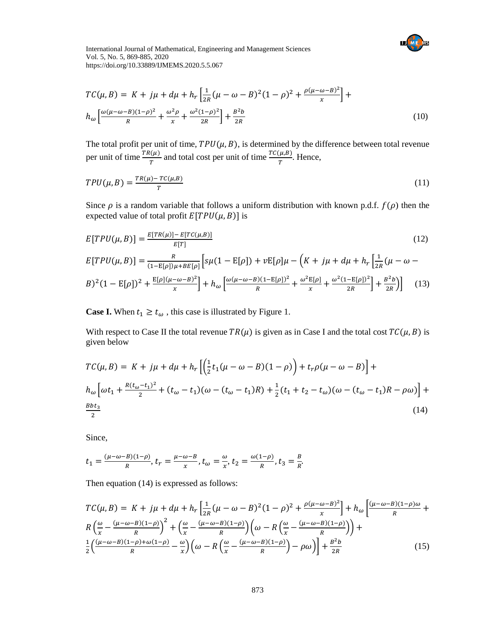

$$
TC(\mu, B) = K + j\mu + d\mu + h_r \left[ \frac{1}{2R} (\mu - \omega - B)^2 (1 - \rho)^2 + \frac{\rho(\mu - \omega - B)^2}{x} \right] + h_{\omega} \left[ \frac{\omega(\mu - \omega - B)(1 - \rho)^2}{R} + \frac{\omega^2 \rho}{x} + \frac{\omega^2 (1 - \rho)^2}{2R} \right] + \frac{B^2 b}{2R}
$$
(10)

The total profit per unit of time,  $TPU(\mu, B)$ , is determined by the difference between total revenue per unit of time  $\frac{TR(\mu)}{T}$  and total cost per unit of time  $\frac{TC(\mu,B)}{T}$ . Hence,

$$
TPU(\mu, B) = \frac{TR(\mu) - TC(\mu, B)}{T}
$$
\n<sup>(11)</sup>

Since  $\rho$  is a random variable that follows a uniform distribution with known p.d.f.  $f(\rho)$  then the expected value of total profit  $E[TPU(\mu, B)]$  is

$$
E[TPU(\mu, B)] = \frac{E[TR(\mu)] - E[TC(\mu, B)]}{E[T]} \tag{12}
$$
\n
$$
E[TPU(\mu, B)] = \frac{R}{(1 - E[\rho])\mu + BE[\rho]} \Big[ s\mu(1 - E[\rho]) + vE[\rho]\mu - \left(K + j\mu + d\mu + h_r \left[\frac{1}{2R}(\mu - \omega - B)\right]^2 + \frac{E[\rho](\mu - \omega - B)^2}{x}\right] + h_\omega \left[\frac{\omega(\mu - \omega - B)(1 - E[\rho])^2}{R} + \frac{\omega^2 E[\rho]}{x} + \frac{\omega^2 (1 - E[\rho])^2}{2R}\right] + \frac{B^2 b}{2R} \Big] \tag{13}
$$

**Case I.** When  $t_1 \geq t_\omega$ , this case is illustrated by Figure 1.

With respect to Case II the total revenue  $TR(\mu)$  is given as in Case I and the total cost  $TC(\mu, B)$  is given below

$$
TC(\mu, B) = K + j\mu + d\mu + h_r \left[ \left( \frac{1}{2} t_1 (\mu - \omega - B)(1 - \rho) \right) + t_r \rho (\mu - \omega - B) \right] +
$$
  
\n
$$
h_\omega \left[ \omega t_1 + \frac{R(t_\omega - t_1)^2}{2} + (t_\omega - t_1)(\omega - (t_\omega - t_1)R) + \frac{1}{2} (t_1 + t_2 - t_\omega)(\omega - (t_\omega - t_1)R - \rho \omega) \right] +
$$
  
\n
$$
\frac{Bbt_3}{2}
$$
\n(14)

Since,

$$
t_1 = \frac{(\mu - \omega - B)(1 - \rho)}{R}
$$
,  $t_r = \frac{\mu - \omega - B}{x}$ ,  $t_\omega = \frac{\omega}{x}$ ,  $t_2 = \frac{\omega(1 - \rho)}{R}$ ,  $t_3 = \frac{B}{R}$ .

Then equation (14) is expressed as follows:

$$
TC(\mu, B) = K + j\mu + d\mu + h_r \left[ \frac{1}{2R} (\mu - \omega - B)^2 (1 - \rho)^2 + \frac{\rho(\mu - \omega - B)^2}{x} \right] + h_\omega \left[ \frac{(\mu - \omega - B)(1 - \rho)\omega}{R} + R \left( \frac{\omega}{x} - \frac{(\mu - \omega - B)(1 - \rho)}{R} \right)^2 + \left( \frac{\omega}{x} - \frac{(\mu - \omega - B)(1 - \rho)}{R} \right) \left( \omega - R \left( \frac{\omega}{x} - \frac{(\mu - \omega - B)(1 - \rho)}{R} \right) \right) + \frac{1}{2} \left( \frac{(\mu - \omega - B)(1 - \rho) + \omega(1 - \rho)}{R} - \frac{\omega}{x} \right) \left( \omega - R \left( \frac{\omega}{x} - \frac{(\mu - \omega - B)(1 - \rho)}{R} \right) - \rho \omega \right) \right] + \frac{B^2 b}{2R}
$$
(15)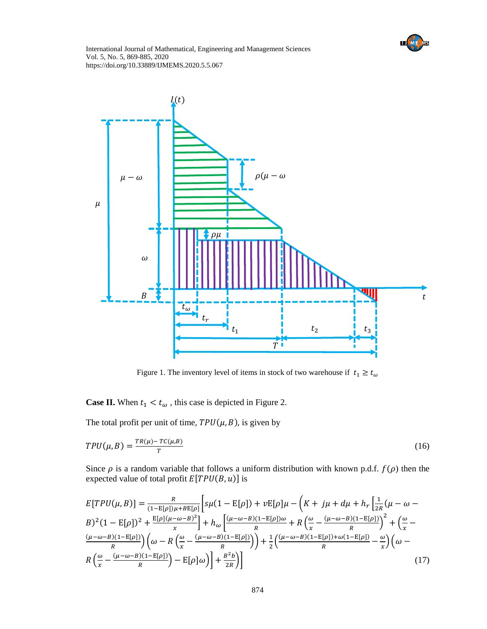



Figure 1. The inventory level of items in stock of two warehouse if  $t_1 \geq t_\omega$ 

**Case II.** When  $t_1 < t_\omega$ , this case is depicted in Figure 2.

The total profit per unit of time,  $TPU(\mu, B)$ , is given by

$$
TPU(\mu, B) = \frac{TR(\mu) - TC(\mu, B)}{T}
$$
\n(16)

Since  $\rho$  is a random variable that follows a uniform distribution with known p.d.f.  $f(\rho)$  then the expected value of total profit  $E[TPU(B, u)]$  is

$$
E[TPU(\mu, B)] = \frac{R}{(1 - E[\rho])\mu + BE[\rho]} \Big[ s\mu(1 - E[\rho]) + vE[\rho]\mu - \left(K + j\mu + d\mu + h_r \Big[ \frac{1}{2R}(\mu - \omega - B)^2 (1 - E[\rho])^2 + \frac{E[\rho](\mu - \omega - B)^2}{x} \Big] + h_\omega \Big[ \frac{(\mu - \omega - B)(1 - E[\rho])\omega}{R} + R \Big( \frac{\omega}{x} - \frac{(\mu - \omega - B)(1 - E[\rho])}{R} \Big)^2 + \Big( \frac{\omega}{x} - \frac{(\mu - \omega - B)(1 - E[\rho])}{R} \Big) \Big( \omega - R \Big( \frac{\omega}{x} - \frac{(\mu - \omega - B)(1 - E[\rho])}{R} \Big) \Big) + \frac{1}{2} \Big( \frac{(\mu - \omega - B)(1 - E[\rho]) + \omega(1 - E[\rho])}{R} - \frac{\omega}{x} \Big) \Big( \omega - R \Big( \frac{\omega}{x} - \frac{(\mu - \omega - B)(1 - E[\rho])}{R} \Big) - E[\rho]\omega \Big) \Big] + \frac{B^2 b}{2R} \Big) \Big]
$$
(17)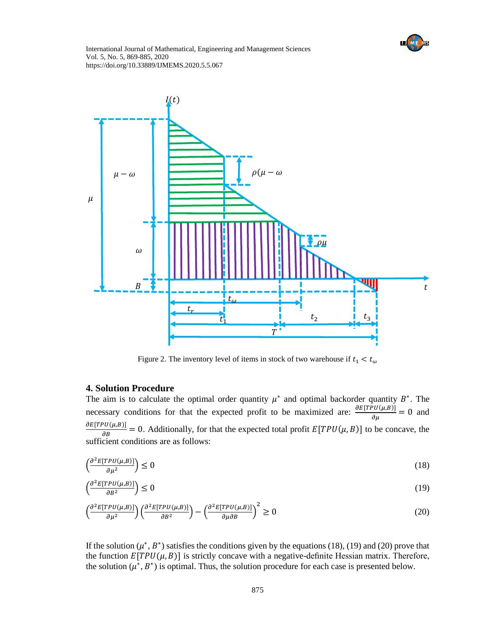



Figure 2. The inventory level of items in stock of two warehouse if  $t_1 < t_\omega$ 

## **4. Solution Procedure**

The aim is to calculate the optimal order quantity  $\mu^*$  and optimal backorder quantity  $B^*$ . The necessary conditions for that the expected profit to be maximized are:  $\frac{\partial E[TPU(\mu,B)]}{\partial \mu} = 0$  and  $\frac{\partial E[TPU(\mu,B)]}{\partial B} = 0$ . Additionally, for that the expected total profit  $E[TPU(\mu,B)]$  to be concave, the sufficient conditions are as follows:

$$
\left(\frac{\partial^2 E[TPU(\mu, B)]}{\partial \mu^2}\right) \le 0\tag{18}
$$

$$
\left(\frac{\partial^2 E[TPU(\mu, B)]}{\partial B^2}\right) \le 0\tag{19}
$$

$$
\left(\frac{\partial^2 E[TPU(\mu, B)]}{\partial \mu^2}\right) \left(\frac{\partial^2 E[TPU(\mu, B)]}{\partial B^2}\right) - \left(\frac{\partial^2 E[TPU(\mu, B)]}{\partial \mu \partial B}\right)^2 \ge 0
$$
\n(20)

If the solution  $(\mu^*, B^*)$  satisfies the conditions given by the equations (18), (19) and (20) prove that the function  $E[TPU(\mu, B)]$  is strictly concave with a negative-definite Hessian matrix. Therefore, the solution  $(\mu^*, B^*)$  is optimal. Thus, the solution procedure for each case is presented below.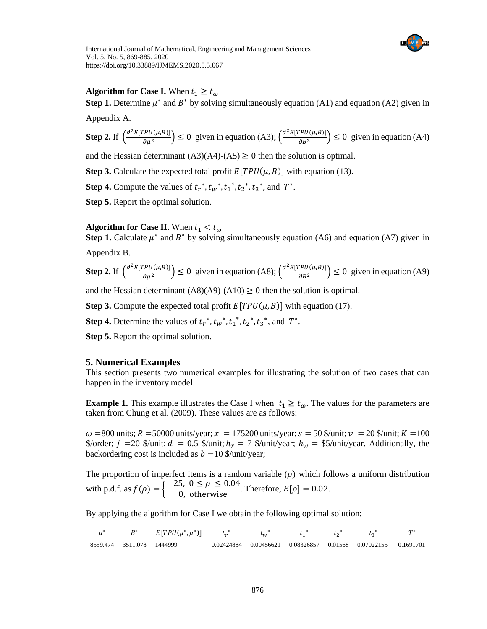

## **Algorithm for Case I.** When  $t_1 \geq t_{\omega}$

**Step 1.** Determine  $\mu^*$  and  $B^*$  by solving simultaneously equation (A1) and equation (A2) given in

Appendix A.

**Step 2.** If  $\left(\frac{\partial^2 E[TPU(\mu,B)]}{\partial x^2}\right)$  $\left(\frac{P U(\mu, B)}{\partial \mu^2}\right) \leq 0$  given in equation (A3);  $\left(\frac{\partial^2 E[TPU(\mu, B)]}{\partial B^2}\right)$  $\left(\frac{P\theta(\mu,\beta)}{\partial B^2}\right) \leq 0$  given in equation (A4)

and the Hessian determinant  $(A3)(A4)-(A5) \ge 0$  then the solution is optimal.

**Step 3.** Calculate the expected total profit  $E[TPU(\mu, B)]$  with equation (13).

**Step 4.** Compute the values of  $t_r^*$ ,  $t_w^*$ ,  $t_1^*$ ,  $t_2^*$ ,  $t_3^*$ , and  $T^*$ .

**Step 5.** Report the optimal solution.

## **Algorithm for Case II.** When  $t_1 < t_0$

**Step 1.** Calculate  $\mu^*$  and  $B^*$  by solving simultaneously equation (A6) and equation (A7) given in

Appendix B.

**Step 2.** If 
$$
\left(\frac{\partial^2 E[TPU(\mu, B)]}{\partial \mu^2}\right) \le 0
$$
 given in equation (A8);  $\left(\frac{\partial^2 E[TPU(\mu, B)]}{\partial B^2}\right) \le 0$  given in equation (A9)

and the Hessian determinant  $(A8)(A9)-(A10) \ge 0$  then the solution is optimal.

**Step 3.** Compute the expected total profit  $E[TPU(\mu, B)]$  with equation (17).

**Step 4.** Determine the values of  $t_r^*$ ,  $t_w^*$ ,  $t_1^*$ ,  $t_2^*$ ,  $t_3^*$ , and  $T^*$ .

**Step 5.** Report the optimal solution.

## **5. Numerical Examples**

This section presents two numerical examples for illustrating the solution of two cases that can happen in the inventory model.

**Example 1.** This example illustrates the Case I when  $t_1 \geq t_\omega$ . The values for the parameters are taken from Chung et al. (2009). These values are as follows:

 $\omega$  =800 units;  $R$  =50000 units/year;  $\chi$  = 175200 units/year;  $s$  = 50 \$/unit;  $\nu$  = 20 \$/unit;  $K$  = 100 \$/order;  $j = 20$  \$/unit;  $d = 0.5$  \$/unit;  $h_r = 7$  \$/unit/year;  $h_w =$  \$5/unit/year. Additionally, the backordering cost is included as  $b =10$  \$/unit/year;

The proportion of imperfect items is a random variable  $(\rho)$  which follows a uniform distribution with p.d.f. as  $f(\rho) = \begin{cases} 25, & 0 \le \rho \le 0.04 \\ 0, & \text{otherwise} \end{cases}$ . Therefore,  $E[\rho] = 0.02$ .

By applying the algorithm for Case I we obtain the following optimal solution:

| $\mu^*$ |                           | $B^*$ $E[TPU(\mu^*, \mu^*)]$ $t_r^*$ |  | $t_{w}^{*}$ $t_{1}^{*}$ $t_{2}^{*}$ $t_{3}^{*}$ |                                                               | $T^*$ |
|---------|---------------------------|--------------------------------------|--|-------------------------------------------------|---------------------------------------------------------------|-------|
|         | 8559.474 3511.078 1444999 |                                      |  |                                                 | 0.02424884 0.00456621 0.08326857 0.01568 0.07022155 0.1691701 |       |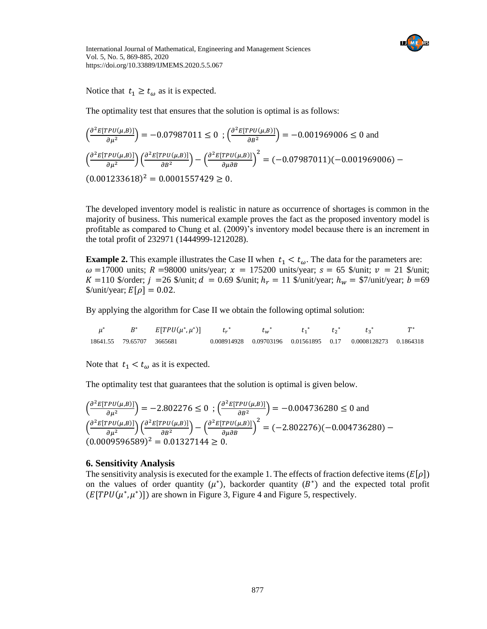

Notice that  $t_1 \geq t_{\omega}$  as it is expected.

The optimality test that ensures that the solution is optimal is as follows:

$$
\left(\frac{\partial^2 E[TPU(\mu, B)]}{\partial \mu^2}\right) = -0.07987011 \le 0 \; ; \left(\frac{\partial^2 E[TPU(\mu, B)]}{\partial B^2}\right) = -0.001969006 \le 0 \text{ and}
$$
\n
$$
\left(\frac{\partial^2 E[TPU(\mu, B)]}{\partial \mu^2}\right) \left(\frac{\partial^2 E[TPU(\mu, B)]}{\partial B^2}\right) - \left(\frac{\partial^2 E[TPU(\mu, B)]}{\partial \mu \partial B}\right)^2 = (-0.07987011)(-0.001969006) - (0.001233618)^2 = 0.0001557429 \ge 0.
$$

The developed inventory model is realistic in nature as occurrence of shortages is common in the majority of business. This numerical example proves the fact as the proposed inventory model is profitable as compared to Chung et al. (2009)'s inventory model because there is an increment in the total profit of 232971 (1444999-1212028).

**Example 2.** This example illustrates the Case II when  $t_1 < t_\omega$ . The data for the parameters are:  $\omega$  =17000 units; R =98000 units/year;  $x$  = 175200 units/year;  $s$  = 65 \$/unit;  $v$  = 21 \$/unit;  $K = 110$  \$/order;  $j = 26$  \$/unit;  $d = 0.69$  \$/unit;  $h_r = 11$  \$/unit/year;  $h_w = 1/0$  \*/unit/year;  $b = 69$  $\text{Wunit/year}$ ;  $E[\rho] = 0.02$ .

By applying the algorithm for Case II we obtain the following optimal solution:

| $\mu^*$ |                           | $B^*$ $E[TPU(\mu^*, \mu^*)]$ $t_r^*$ $t^*$ |  | $t_w^*$ $t_1^*$ $t_2^*$ $t_3^*$ |                                                               |  |
|---------|---------------------------|--------------------------------------------|--|---------------------------------|---------------------------------------------------------------|--|
|         | 18641.55 79.65707 3665681 |                                            |  |                                 | 0.008914928 0.09703196 0.01561895 0.17 0.0008128273 0.1864318 |  |

Note that  $t_1 < t_{\omega}$  as it is expected.

The optimality test that guarantees that the solution is optimal is given below.

$$
\left(\frac{\partial^2 E[TPU(\mu, B)]}{\partial \mu^2}\right) = -2.802276 \le 0 \; ; \left(\frac{\partial^2 E[TPU(\mu, B)]}{\partial B^2}\right) = -0.004736280 \le 0 \text{ and}
$$
\n
$$
\left(\frac{\partial^2 E[TPU(\mu, B)]}{\partial \mu^2}\right) \left(\frac{\partial^2 E[TPU(\mu, B)]}{\partial B^2}\right) - \left(\frac{\partial^2 E[TPU(\mu, B)]}{\partial \mu \partial B}\right)^2 = (-2.802276)(-0.004736280) - (0.0009596589)^2 = 0.01327144 \ge 0.
$$

## **6. Sensitivity Analysis**

The sensitivity analysis is executed for the example 1. The effects of fraction defective items  $(E[\rho])$ on the values of order quantity  $(\mu^*)$ , backorder quantity  $(B^*)$  and the expected total profit  $(E[TPU(\mu^*, \mu^*)])$  are shown in Figure 3, Figure 4 and Figure 5, respectively.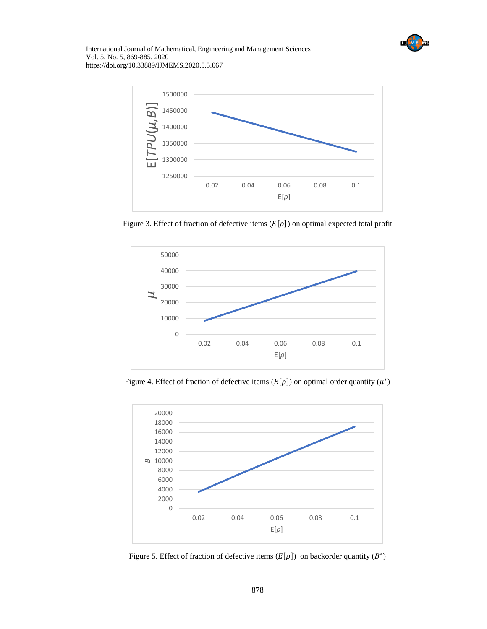



Figure 3. Effect of fraction of defective items ( $E[\rho]$ ) on optimal expected total profit



Figure 4. Effect of fraction of defective items ( $E[\rho]$ ) on optimal order quantity ( $\mu^*$ )



Figure 5. Effect of fraction of defective items  $(E[\rho])$  on backorder quantity  $(B^*)$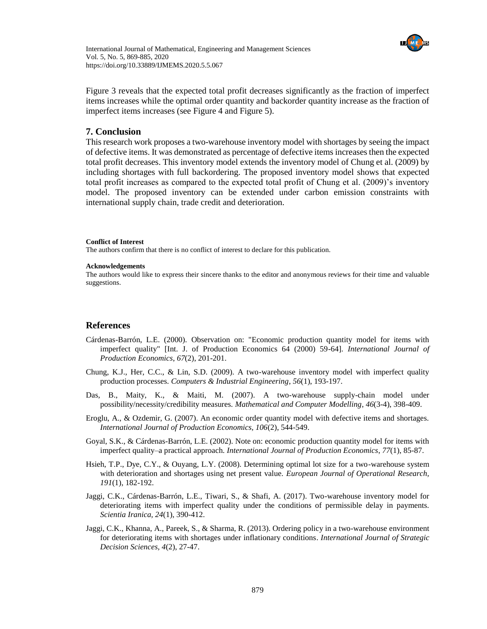

Figure 3 reveals that the expected total profit decreases significantly as the fraction of imperfect items increases while the optimal order quantity and backorder quantity increase as the fraction of imperfect items increases (see Figure 4 and Figure 5).

### **7. Conclusion**

This research work proposes a two-warehouse inventory model with shortages by seeing the impact of defective items. It was demonstrated as percentage of defective items increases then the expected total profit decreases. This inventory model extends the inventory model of Chung et al. (2009) by including shortages with full backordering. The proposed inventory model shows that expected total profit increases as compared to the expected total profit of Chung et al. (2009)'s inventory model. The proposed inventory can be extended under carbon emission constraints with international supply chain, trade credit and deterioration.

### **Conflict of Interest**

The authors confirm that there is no conflict of interest to declare for this publication.

#### **Acknowledgements**

The authors would like to express their sincere thanks to the editor and anonymous reviews for their time and valuable suggestions.

### **References**

- Cárdenas-Barrón, L.E. (2000). Observation on: "Economic production quantity model for items with imperfect quality" [Int. J. of Production Economics 64 (2000) 59-64]. *International Journal of Production Economics*, *67*(2), 201-201.
- Chung, K.J., Her, C.C., & Lin, S.D. (2009). A two-warehouse inventory model with imperfect quality production processes. *Computers & Industrial Engineering*, *56*(1), 193-197.
- Das, B., Maity, K., & Maiti, M. (2007). A two-warehouse supply-chain model under possibility/necessity/credibility measures. *Mathematical and Computer Modelling*, *46*(3-4), 398-409.
- Eroglu, A., & Ozdemir, G. (2007). An economic order quantity model with defective items and shortages. *International Journal of Production Economics, 106*(2), 544-549.
- Goyal, S.K., & Cárdenas-Barrón, L.E. (2002). Note on: economic production quantity model for items with imperfect quality–a practical approach. *International Journal of Production Economics*, *77*(1), 85-87.
- Hsieh, T.P., Dye, C.Y., & Ouyang, L.Y. (2008). Determining optimal lot size for a two-warehouse system with deterioration and shortages using net present value. *European Journal of Operational Research, 191*(1), 182-192.
- Jaggi, C.K., Cárdenas-Barrón, L.E., Tiwari, S., & Shafi, A. (2017). Two-warehouse inventory model for deteriorating items with imperfect quality under the conditions of permissible delay in payments. *Scientia Iranica, 24*(1), 390-412.
- Jaggi, C.K., Khanna, A., Pareek, S., & Sharma, R. (2013). Ordering policy in a two-warehouse environment for deteriorating items with shortages under inflationary conditions. *International Journal of Strategic Decision Sciences, 4*(2), 27-47.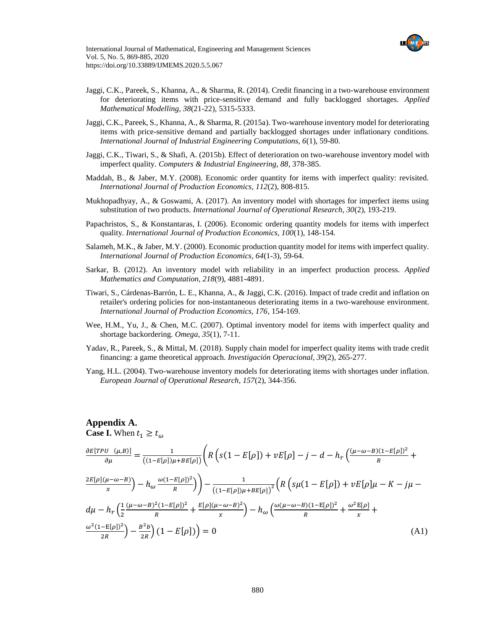

- Jaggi, C.K., Pareek, S., Khanna, A., & Sharma, R. (2014). Credit financing in a two-warehouse environment for deteriorating items with price-sensitive demand and fully backlogged shortages. *Applied Mathematical Modelling, 38*(21-22), 5315-5333.
- Jaggi, C.K., Pareek, S., Khanna, A., & Sharma, R. (2015a). Two-warehouse inventory model for deteriorating items with price-sensitive demand and partially backlogged shortages under inflationary conditions. *International Journal of Industrial Engineering Computations, 6*(1), 59-80.
- Jaggi, C.K., Tiwari, S., & Shafi, A. (2015b). Effect of deterioration on two-warehouse inventory model with imperfect quality. *Computers & Industrial Engineering, 88*, 378-385.
- Maddah, B., & Jaber, M.Y. (2008). Economic order quantity for items with imperfect quality: revisited. *International Journal of Production Economics, 112*(2), 808-815.
- Mukhopadhyay, A., & Goswami, A. (2017). An inventory model with shortages for imperfect items using substitution of two products. *International Journal of Operational Research, 30*(2), 193-219.
- Papachristos, S., & Konstantaras, I. (2006). Economic ordering quantity models for items with imperfect quality. *International Journal of Production Economics, 100*(1), 148-154.
- Salameh, M.K., & Jaber, M.Y. (2000). Economic production quantity model for items with imperfect quality. *International Journal of Production Economics, 64*(1-3), 59-64.
- Sarkar, B. (2012). An inventory model with reliability in an imperfect production process. *Applied Mathematics and Computation, 218*(9), 4881-4891.
- Tiwari, S., Cárdenas-Barrón, L. E., Khanna, A., & Jaggi, C.K. (2016). Impact of trade credit and inflation on retailer's ordering policies for non-instantaneous deteriorating items in a two-warehouse environment. *International Journal of Production Economics, 176*, 154-169.
- Wee, H.M., Yu, J., & Chen, M.C. (2007). Optimal inventory model for items with imperfect quality and shortage backordering. *Omega, 35*(1), 7-11.
- Yadav, R., Pareek, S., & Mittal, M. (2018). Supply chain model for imperfect quality items with trade credit financing: a game theoretical approach. *Investigación Operacional, 39*(2), 265-277.
- Yang, H.L. (2004). Two-warehouse inventory models for deteriorating items with shortages under inflation. *European Journal of Operational Research, 157*(2), 344-356.

## **Appendix A. Case I.** When  $t_1 \geq t_{\omega}$

$$
\frac{\partial E[TPU \ (\mu,B)]}{\partial \mu} = \frac{1}{((1 - E[\rho])\mu + BE[\rho])} \left( R \left( s(1 - E[\rho]) + vE[\rho] - j - d - h_r \left( \frac{(\mu - \omega - B)(1 - E[\rho])^2}{R} + \frac{2E[\rho](\mu - \omega - B)}{x} \right) - h_\omega \frac{\omega(1 - E[\rho])^2}{R} \right) \right)
$$
\n
$$
\frac{1}{((1 - E[\rho])\mu + BE[\rho])^2} \left( R \left( s\mu(1 - E[\rho]) + vE[\rho]\mu - K - j\mu - d\mu - h_r \left( \frac{1}{2} \frac{(\mu - \omega - B)^2 (1 - E[\rho])^2}{R} + \frac{E[\rho](\mu - \omega - B)^2}{x} \right) - h_\omega \left( \frac{\omega(\mu - \omega - B)(1 - E[\rho])^2}{R} + \frac{\omega^2 E[\rho]}{x} + \frac{\omega^2 E[\rho]}{x} \right) \right)
$$
\n
$$
\frac{\omega^2 (1 - E[\rho])^2}{2R} - \frac{B^2 b}{2R} \left( 1 - E[\rho] \right) = 0 \tag{A1}
$$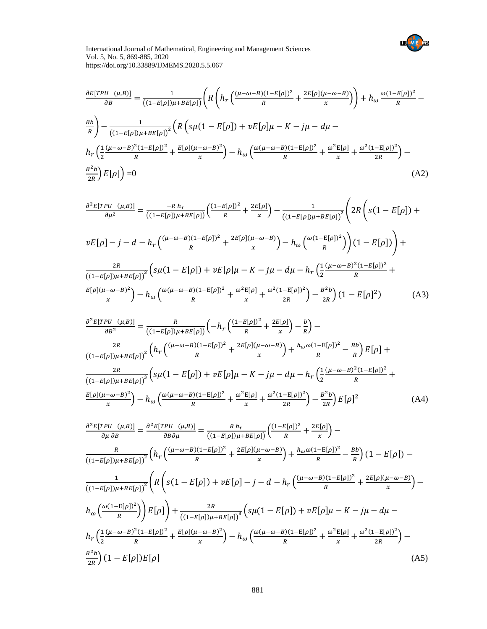

$$
\frac{\partial E[TPU \ (\mu,B)]}{\partial B} = \frac{1}{((1-E[\rho])\mu + BE[\rho])} \left( R \left( h_r \left( \frac{(\mu - \omega - B)(1 - E[\rho])^2}{R} + \frac{2E[\rho](\mu - \omega - B)}{x} \right) \right) + h_\omega \frac{\omega (1 - E[\rho])^2}{R} - \frac{Bb}{((1-E[\rho])\mu + BE[\rho])^2} \left( R \left( s\mu (1 - E[\rho]) + vE[\rho]\mu - K - j\mu - d\mu - \right) h_r \left( \frac{1}{2} \frac{(\mu - \omega - B)^2 (1 - E[\rho])^2}{R} + \frac{E[\rho](\mu - \omega - B)^2}{x} \right) - h_\omega \left( \frac{\omega (\mu - \omega - B)(1 - E[\rho])^2}{R} + \frac{\omega^2 E[\rho]}{x} + \frac{\omega^2 (1 - E[\rho])^2}{2R} \right) - \frac{B^2 b}{2R} \right) E[\rho] \right) = 0
$$
\n(A2)

$$
\frac{\partial^2 E[TPU_{\mu,B})}{\partial \mu^2} = \frac{-R h_r}{((1 - E[\rho])\mu + BE[\rho])} \left( \frac{(1 - E[\rho])^2}{R} + \frac{2E[\rho]}{x} \right) - \frac{1}{((1 - E[\rho])\mu + BE[\rho])^2} \left( 2R \left( s(1 - E[\rho]) + \nu E[\rho] - j - d - h_r \left( \frac{(\mu - \omega - B)(1 - E[\rho])^2}{R} + \frac{2E[\rho](\mu - \omega - B)}{x} \right) - h_\omega \left( \frac{\omega(1 - E[\rho])^2}{R} \right) \right) (1 - E[\rho]) \right) + \frac{2R}{((1 - E[\rho])\mu + BE[\rho])^3} \left( s\mu(1 - E[\rho]) + \nu E[\rho]\mu - K - j\mu - d\mu - h_r \left( \frac{1}{2} \frac{(\mu - \omega - B)^2 (1 - E[\rho])^2}{R} + \frac{E[\rho](\mu - \omega - B)^2}{x} \right) - h_\omega \left( \frac{\omega(\mu - \omega - B)(1 - E[\rho])^2}{R} + \frac{\omega^2 E[\rho]}{x} + \frac{\omega^2 (1 - E[\rho])^2}{2R} \right) - \frac{B^2 b}{2R} (1 - E[\rho]^2) \tag{A3}
$$

$$
\frac{\partial^2 E[TPU_{\mu,B})}{\partial B^2} = \frac{R}{((1 - E[\rho])\mu + BE[\rho])} \left( -h_r \left( \frac{(1 - E[\rho])^2}{R} + \frac{2E[\rho]}{x} \right) - \frac{b}{R} \right) - \frac{2R}{((1 - E[\rho])\mu + BE[\rho])^2} \left( h_r \left( \frac{(\mu - \omega - B)(1 - E[\rho])^2}{R} + \frac{2E[\rho](\mu - \omega - B)}{x} \right) + \frac{h_\omega \omega (1 - E[\rho])^2}{R} - \frac{Bb}{R} \right) E[\rho] + \frac{2R}{((1 - E[\rho])\mu + BE[\rho])^3} \left( s\mu (1 - E[\rho]) + vE[\rho]\mu - K - j\mu - d\mu - h_r \left( \frac{1}{2} \frac{(\mu - \omega - B)^2 (1 - E[\rho])^2}{R} + \frac{E[\rho](\mu - \omega - B)^2}{x} \right) - h_\omega \left( \frac{\omega (\mu - \omega - B)(1 - E[\rho])^2}{R} + \frac{\omega^2 E[\rho]}{x} + \frac{\omega^2 (1 - E[\rho])^2}{2R} \right) - \frac{B^2 b}{2R} \right) E[\rho]^2 \tag{A4}
$$

$$
\frac{\partial^2 E[TPU(\mu, B)]}{\partial \mu \partial B} = \frac{\partial^2 E[TPU(\mu, B)]}{\partial B \partial \mu} = \frac{R h_r}{((1 - E[\rho])\mu + BE[\rho])} \left( \frac{(1 - E[\rho])^2}{R} + \frac{2E[\rho]}{x} \right) -
$$
  

$$
\frac{R}{((1 - E[\rho])\mu + BE[\rho])^2} \left( h_r \left( \frac{(\mu - \omega - B)(1 - E[\rho])^2}{R} + \frac{2E[\rho](\mu - \omega - B)}{x} \right) + \frac{h_\omega \omega (1 - E[\rho])^2}{R} - \frac{Bb}{R} \right) (1 - E[\rho]) -
$$
  

$$
\frac{1}{((1 - E[\rho])\mu + BE[\rho])^2} \left( R \left( s(1 - E[\rho]) + vE[\rho] - j - d - h_r \left( \frac{(\mu - \omega - B)(1 - E[\rho])^2}{R} + \frac{2E[\rho](\mu - \omega - B)}{x} \right) - h_\omega \left( \frac{\omega (1 - E[\rho])^2}{R} \right) \right) \right)
$$

$$
h_\omega \left( \frac{\omega (1 - E[\rho])^2}{R} \right) E[\rho] + \frac{2R}{((1 - E[\rho])\mu + BE[\rho])^3} \left( s\mu (1 - E[\rho]) + vE[\rho]\mu - K - j\mu - d\mu -
$$

$$
h_r \left( \frac{1}{2} \frac{(\mu - \omega - B)^2 (1 - E[\rho])^2}{R} + \frac{E[\rho](\mu - \omega - B)^2}{x} \right) - h_\omega \left( \frac{\omega (\mu - \omega - B)(1 - E[\rho])^2}{R} + \frac{\omega^2 E[\rho]}{x} + \frac{\omega^2 (1 - E[\rho])^2}{2R} \right) -
$$

$$
\frac{B^2 b}{2R} (1 - E[\rho]) E[\rho]
$$
(A5)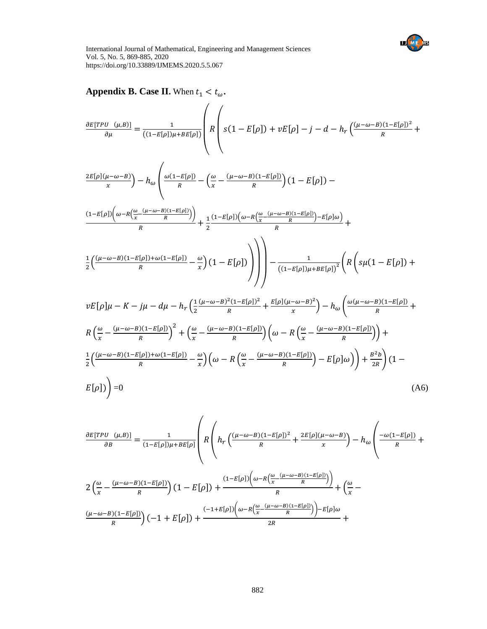

**Appendix B. Case II.** When  $t_1 < t_\omega$ .

$$
\frac{\partial E[TPU (μ, B)]}{\partial \mu} = \frac{1}{((1-E[\rho])\mu + BE[\rho])} \left( R \left( s(1 - E[\rho]) + vE[\rho] - j - d - h_r \frac{(\mu - \omega - B)(1 - E[\rho])^2}{R} + \frac{2E[\rho](\mu - \omega - B)}{x} \right) - h_\omega \left( \frac{\omega(1 - E[\rho])}{R} - \left( \frac{\omega}{x} - \frac{(\mu - \omega - B)(1 - E[\rho])}{R} \right) (1 - E[\rho]) - (1 - E[\rho]) \left( \frac{\omega - R(\frac{\omega}{x} - \frac{(\mu - \omega - B)(1 - E[\rho])}{R})}{R} \right) \right) \right) + \frac{1}{2} \frac{(1 - E[\rho])(\omega - R(\frac{\omega}{x} - \frac{(\mu - \omega - B)(1 - E[\rho])}{R}) - E[\rho]\omega)}{R} + \frac{1}{2} \left( \frac{(\mu - \omega - B)(1 - E[\rho]) + \omega(1 - E[\rho])}{R} - \frac{\omega}{\mu} \right) (1 - E[\rho]) \right) \right) - \frac{1}{((1 - E[\rho])\mu + BE[\rho])^2} \left( R \left( s\mu(1 - E[\rho]) + vE[\rho] \mu - K - j\mu - d\mu - h_r \left( \frac{1}{2} \frac{(\mu - \omega - B)^2(1 - E[\rho])^2}{R} + \frac{E[\rho](\mu - \omega - B)^2}{x} \right) - h_\omega \left( \frac{\omega(\mu - \omega - B)(1 - E[\rho])}{R} + K \left( \frac{\omega}{x} - \frac{(\mu - \omega - B)(1 - E[\rho])}{R} \right)^2 + \left( \frac{\omega}{x} - \frac{(\mu - \omega - B)(1 - E[\rho])}{R} \right) \left( \omega - R \left( \frac{\omega}{x} - \frac{(\mu - \omega - B)(1 - E[\rho])}{R} \right) \right) \right)
$$

$$
\frac{1}{2}\left(\frac{(\mu-\omega-B)(1-E[\rho])+\omega(1-E[\rho])}{R} - \frac{\omega}{x}\right)\left(\omega - R\left(\frac{\omega}{x} - \frac{(\mu-\omega-B)(1-E[\rho])}{R}\right) - E[\rho]\omega\right)\right) + \frac{B^2b}{2R}\left(1 - \frac{B[\rho]}{2}\right)
$$
\n
$$
E[\rho]\left(1 - \frac{\omega}{2}\right)\left(\omega - R\left(\frac{\omega}{x} - \frac{(\mu-\omega-B)(1-E[\rho])}{R}\right) - E[\rho]\omega\right)\right) + \frac{B^2b}{2R}\left(1 - \frac{\omega}{2}\right)
$$
\n(A6)

$$
\frac{\partial E[TPU(\mu,B)]}{\partial B} = \frac{1}{(1-E[\rho])\mu + BE[\rho]} \left( R \left( h_r \left( \frac{(\mu-\omega-B)(1-E[\rho])^2}{R} + \frac{2E[\rho](\mu-\omega-B)}{x} \right) - h_\omega \left( \frac{-\omega(1-E[\rho])}{R} + \frac{2E[\rho](\mu-\omega-B)(1-E[\rho])}{R} \right) \right) \right)
$$

$$
2 \left( \frac{\omega}{x} - \frac{(\mu-\omega-B)(1-E[\rho])}{R} \right) (1 - E[\rho]) + \frac{(1-E[\rho]) \left( \omega - R \left( \frac{\omega}{x} - \frac{(\mu-\omega-B)(1-E[\rho])}{R} \right) \right)}{R} + \left( \frac{\omega}{x} - \frac{(\mu-\omega-B)(1-E[\rho])}{R} \right) (-1 + E[\rho]) + \frac{(-1+E[\rho]) \left( \omega - R \left( \frac{\omega}{x} - \frac{(\mu-\omega-B)(1-E[\rho])}{R} \right) \right) - E[\rho]\omega}{2R} + \frac{2E[\rho](1-E[\rho]) \left( \omega - R \left( \frac{\omega}{x} - \frac{(\mu-\omega-B)(1-E[\rho])}{R} \right) \right) - E[\rho]\omega}{2R} \right)
$$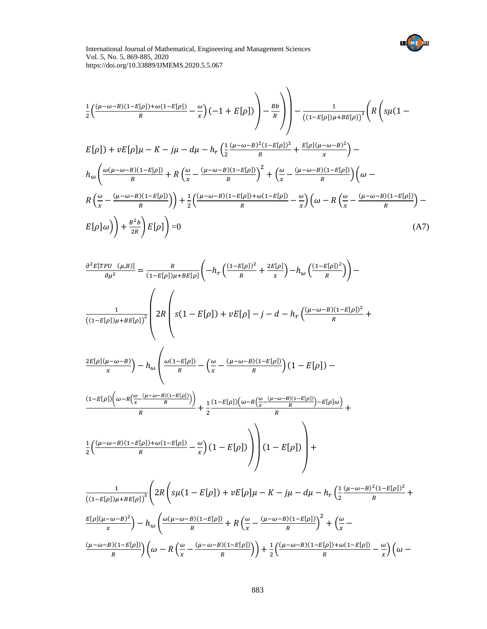

$$
\frac{1}{2}\left(\frac{(\mu-\omega-B)(1-E[\rho])+\omega(1-E[\rho])}{R}-\frac{\omega}{x}\right)(-1+E[\rho])\right)-\frac{Bb}{R}\Bigg)\Bigg)-\frac{1}{((1-E[\rho])\mu+BE[\rho])^2}\Bigg(R\Big(g\mu(1-E[\rho])+vE[\rho]\mu-K-j\mu-d\mu-h_r\Big(\frac{1}{2}\frac{(\mu-\omega-B)^2(1-E[\rho])^2}{R}+\frac{E[\rho](\mu-\omega-B)^2}{x}\Big)-\frac{h_{\omega}\Bigg(\frac{\omega(\mu-\omega-B)(1-E[\rho])}{R}+R\Big(\frac{\omega}{x}-\frac{(\mu-\omega-B)(1-E[\rho])}{R}\Big)^2+\Big(\frac{\omega}{x}-\frac{(\mu-\omega-B)(1-E[\rho])}{R}\Big)\Big(\omega-R\Big(\frac{\omega}{x}-\frac{(\mu-\omega-B)(1-E[\rho])}{R}\Big)\Big)+\frac{1}{2}\Big(\frac{(\mu-\omega-B)(1-E[\rho])+\omega(1-E[\rho])}{R}-\frac{\omega}{x}\Big)\Big(\omega-R\Big(\frac{\omega}{x}-\frac{(\mu-\omega-B)(1-E[\rho])}{R}\Big)-\frac{B^2b}{2R}\Bigg)E[\rho]\Bigg)=0\tag{A7}
$$

$$
\frac{\partial^2 E[TPU_{\mu,B})}{\partial \mu^2} = \frac{R}{(1 - E[\rho])\mu + BE[\rho]} \left( -h_r \left( \frac{(1 - E[\rho])^2}{R} + \frac{2E[\rho]}{x} \right) - h_\omega \left( \frac{(1 - E[\rho])^2}{R} \right) \right) -
$$
  

$$
\frac{1}{((1 - E[\rho])\mu + BE[\rho])^2} \left( 2R \left( s(1 - E[\rho]) + vE[\rho] - j - d - h_r \left( \frac{(\mu - \omega - B)(1 - E[\rho])^2}{R} + \frac{2E[\rho]}{R} \right) \right) \right)
$$

$$
\frac{2E[\rho](\mu-\omega-B)}{x} - h_{\omega}\left(\frac{\omega(1-E[\rho])}{R} - \left(\frac{\omega}{x} - \frac{(\mu-\omega-B)(1-E[\rho])}{R}\right)(1 - E[\rho]) - \frac{(1-E[\rho])(\omega-R(\frac{\omega}{x} - \frac{(\mu-\omega-B)(1-E[\rho]))}{R})}{R}\right) + \frac{1}{x}\frac{(1-E[\rho])(\omega-R(\frac{\omega}{x} - \frac{(\mu-\omega-B)(1-E[\rho])}{R}) - E[\rho]\omega)}{R}\right)
$$

$$
\frac{\frac{1}{2}\left(\frac{(\mu-\omega-B)(1-E[\rho])+\omega(1-E[\rho])}{R} - \frac{\omega}{x}\right)\left(1-E[\rho]\right)}{R} + \frac{\frac{1}{2}\left(\frac{(\mu-\omega-B)(1-E[\rho])+\omega(1-E[\rho])}{R} - \frac{\omega}{x}\right)\left(1-E[\rho]\right)}{R}\right)
$$

$$
\frac{1}{((1-E[\rho])\mu + BE[\rho])^{3}} \left( 2R \left( s\mu(1 - E[\rho]) + vE[\rho]\mu - K - j\mu - d\mu - h_{r} \left( \frac{1}{2} \frac{(\mu - \omega - B)^{2}(1 - E[\rho])^{2}}{R} + \frac{E[\rho](\mu - \omega - B)^{2}}{x} \right) - h_{\omega} \left( \frac{\omega(\mu - \omega - B)(1 - E[\rho])}{R} + R \left( \frac{\omega}{x} - \frac{(\mu - \omega - B)(1 - E[\rho])}{R} \right)^{2} + \left( \frac{\omega}{x} - \frac{(\mu - \omega - B)(1 - E[\rho])}{R} \right) \left( \frac{\omega}{x} - R \left( \frac{(\mu - \omega - B)(1 - E[\rho])}{R} \right) \right) \right) \right) + \frac{1}{2} \left( \frac{(\mu - \omega - B)(1 - E[\rho]) + \omega(1 - E[\rho])}{R} - \frac{\omega}{x} \right) \left( \omega - R \left( \frac{\omega}{x} - \frac{(\mu - \omega - B)(1 - E[\rho])}{R} \right) \right)
$$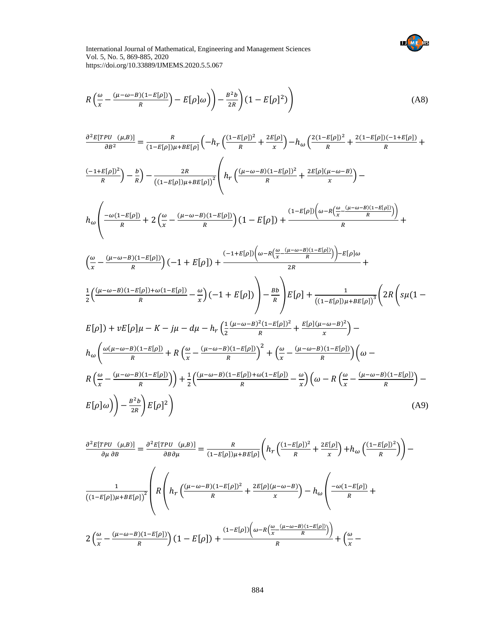

$$
R\left(\frac{\omega}{x} - \frac{(\mu - \omega - B)(1 - E[\rho])}{R}\right) - E[\rho]\omega\right) - \frac{B^2b}{2R}\left(1 - E[\rho]^2\right) \tag{A8}
$$

$$
\frac{\partial^2 E[TPU_{(µ,B)}]}{\partial B^2} = \frac{R}{(1-E[p])\mu + BE[p]} \left( -h_r \left( \frac{(1-E[p])^2}{R} + \frac{2E[p]}{x} \right) - h_\omega \left( \frac{2(1-E[p])^2}{R} + \frac{2(1-E[p])(-1+E[p])}{R} + \frac{(-1+E[p])^2}{R} \right) \right)
$$
  

$$
\frac{(-1+E[p])^2}{R} \right) - \frac{B}{R} \right) - \frac{2R}{((1-E[p])\mu + BE[p])^2} \left( h_r \left( \frac{(\mu-\omega-B)(1-E[p])^2}{R} + \frac{2E[p](\mu-\omega-B)}{x} \right) -
$$
  

$$
h_\omega \left( \frac{-\omega(1-E[p])}{R} + 2 \left( \frac{\omega}{x} - \frac{(\mu-\omega-B)(1-E[p])}{R} \right) (1 - E[p]) + \frac{(1-E[p]) \left( \omega - R \left( \frac{\omega}{x} - \frac{(\mu-\omega-B)(1-E[p])}{R} \right) \right)}{R} + \frac{(-1+E[p]) \left( \omega - R \left( \frac{\omega}{x} - \frac{(\mu-\omega-B)(1-E[p])}{R} \right) \right)}{2R} +
$$
  

$$
\frac{1}{2} \left( \frac{(\mu-\omega-B)(1-E[p]) + \omega(1-E[p])}{R} - \frac{\omega}{x} \right) (-1 + E[p]) \right) - \frac{Bb}{R} \left[ E[p] + \frac{1}{((1-E[p])\mu + BE[p])^3} \left( 2R \left( s\mu(1 - E[p]) + vE[p] \mu - K - j\mu - d\mu - h_r \left( \frac{1}{2} \frac{(\mu-\omega-B)^2(1-E[p])^2}{R} + \frac{E[p](\mu-\omega-B)^2}{x} \right) - \frac{h_\omega}{R} \left( \frac{\omega(\mu-\omega-B)(1-E[p])}{R} + R \left( \frac{\omega}{x} - \frac{(\mu-\omega-B)(1-E[p])}{R} \right)^2 + \left( \frac{\omega}{x} - \frac{(\mu-\omega-B)(1-E[p])}{R} \right) \left( \omega - R \left( \frac{\omega}{x} - \frac{(\mu-\omega-B)(1-E[p])}{R} \right) \right) - \frac{Bb}{2R} \right) E[p]^2 \right)
$$
  

$$
E[p
$$

$$
\frac{\partial^2 E[TPU^U(\mu, B)]}{\partial \mu \partial B} = \frac{\partial^2 E[TPU^U(\mu, B)]}{\partial B \partial \mu} = \frac{R}{(1 - E[\rho])\mu + BE[\rho]} \left( h_r \left( \frac{(1 - E[\rho])^2}{R} + \frac{2E[\rho]}{x} \right) + h_\omega \left( \frac{(1 - E[\rho])^2}{R} \right) \right)
$$

$$
\frac{1}{((1 - E[\rho])\mu + BE[\rho])^2} \left( R \left( h_r \left( \frac{(\mu - \omega - B)(1 - E[\rho])^2}{R} + \frac{2E[\rho](\mu - \omega - B)}{x} \right) - h_\omega \left( \frac{-\omega(1 - E[\rho])}{R} + \frac{2E[\rho](\mu - \omega - B)}{R} \right) \right) \right)
$$

$$
2 \left( \frac{\omega}{x} - \frac{(\mu - \omega - B)(1 - E[\rho])}{R} \right) (1 - E[\rho]) + \frac{(1 - E[\rho]) \left( \omega - R \left( \frac{\omega}{x} - \frac{(\mu - \omega - B)(1 - E[\rho])}{R} \right) \right)}{R} + \left( \frac{\omega}{x} - \frac{(\mu - \omega - B)(1 - E[\rho])^2}{R} \right)
$$